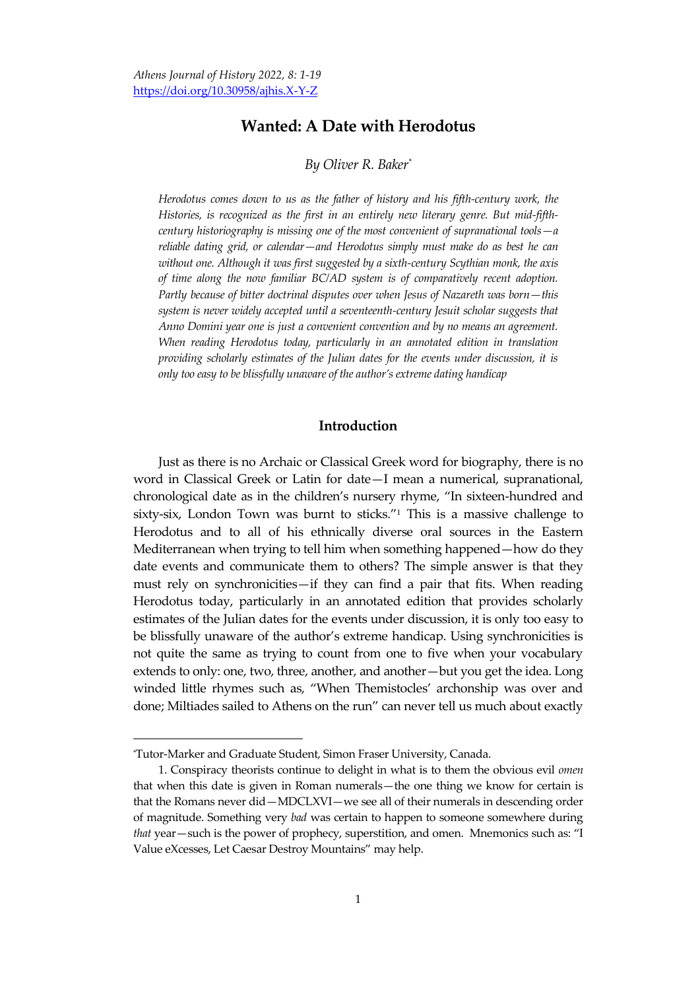# **Wanted: A Date with Herodotus**

#### *By Oliver R. Baker\**

*Herodotus comes down to us as the father of history and his fifth-century work, the Histories, is recognized as the first in an entirely new literary genre. But mid-fifthcentury historiography is missing one of the most convenient of supranational tools—a reliable dating grid, or calendar—and Herodotus simply must make do as best he can without one. Although it was first suggested by a sixth-century Scythian monk, the axis of time along the now familiar BC/AD system is of comparatively recent adoption. Partly because of bitter doctrinal disputes over when Jesus of Nazareth was born—this system is never widely accepted until a seventeenth-century Jesuit scholar suggests that Anno Domini year one is just a convenient convention and by no means an agreement. When reading Herodotus today, particularly in an annotated edition in translation providing scholarly estimates of the Julian dates for the events under discussion, it is only too easy to be blissfully unaware of the author's extreme dating handicap*

### **Introduction**

Just as there is no Archaic or Classical Greek word for biography, there is no word in Classical Greek or Latin for date—I mean a numerical, supranational, chronological date as in the children's nursery rhyme, 'In sixteen-hundred and sixty-six, London Town was burnt to sticks." $1$  This is a massive challenge to Herodotus and to all of his ethnically diverse oral sources in the Eastern Mediterranean when trying to tell him when something happened—how do they date events and communicate them to others? The simple answer is that they must rely on synchronicities—if they can find a pair that fits. When reading Herodotus today, particularly in an annotated edition that provides scholarly estimates of the Julian dates for the events under discussion, it is only too easy to be blissfully unaware of the author's extreme handicap. Using synchronicities is not quite the same as trying to count from one to five when your vocabulary extends to only: one, two, three, another, and another—but you get the idea. Long winded little rhymes such as, 'When Themistocles' archonship was over and done; Miltiades sailed to Athens on the run' can never tell us much about exactly

<sup>\*</sup>Tutor-Marker and Graduate Student, Simon Fraser University, Canada.

<sup>1.</sup> Conspiracy theorists continue to delight in what is to them the obvious evil *omen* that when this date is given in Roman numerals—the one thing we know for certain is that the Romans never did—MDCLXVI—we see all of their numerals in descending order of magnitude. Something very *bad* was certain to happen to someone somewhere during *that* year—such is the power of prophecy, superstition, and omen. Mnemonics such as: "I Value eXcesses, Let Caesar Destroy Mountains' may help.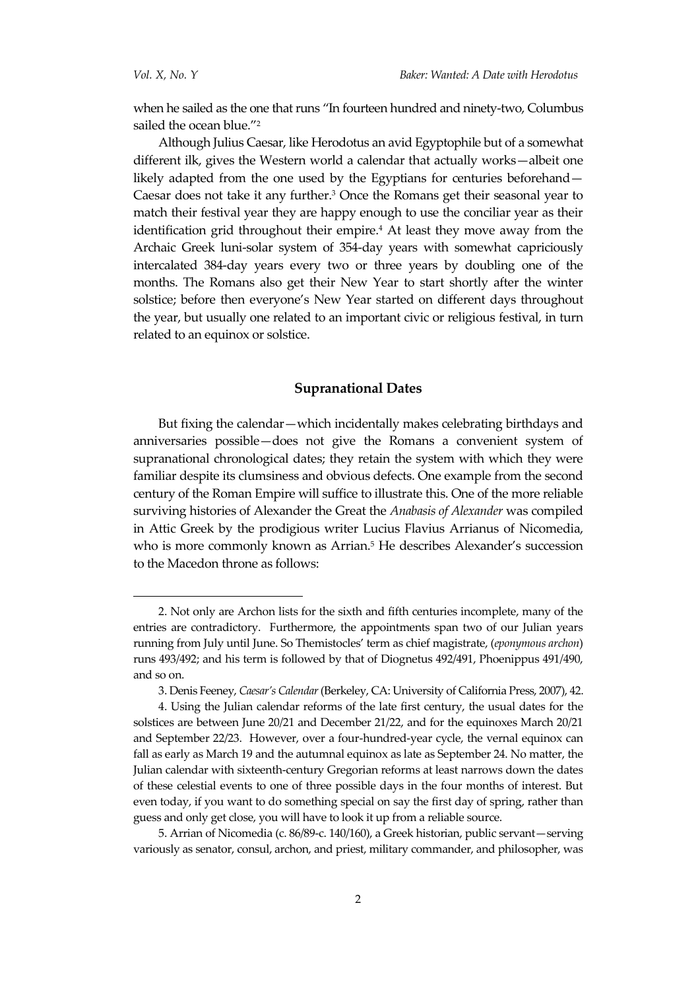when he sailed as the one that runs 'In fourteen hundred and ninety-two, Columbus sailed the ocean blue."<sup>2</sup>

Although Julius Caesar, like Herodotus an avid Egyptophile but of a somewhat different ilk, gives the Western world a calendar that actually works—albeit one likely adapted from the one used by the Egyptians for centuries beforehand— Caesar does not take it any further.<sup>3</sup> Once the Romans get their seasonal year to match their festival year they are happy enough to use the conciliar year as their identification grid throughout their empire.<sup>4</sup> At least they move away from the Archaic Greek luni-solar system of 354-day years with somewhat capriciously intercalated 384-day years every two or three years by doubling one of the months. The Romans also get their New Year to start shortly after the winter solstice; before then everyone's New Year started on different days throughout the year, but usually one related to an important civic or religious festival, in turn related to an equinox or solstice.

### **Supranational Dates**

But fixing the calendar—which incidentally makes celebrating birthdays and anniversaries possible—does not give the Romans a convenient system of supranational chronological dates; they retain the system with which they were familiar despite its clumsiness and obvious defects. One example from the second century of the Roman Empire will suffice to illustrate this. One of the more reliable surviving histories of Alexander the Great the *Anabasis of Alexander* was compiled in Attic Greek by the prodigious writer Lucius Flavius Arrianus of Nicomedia, who is more commonly known as Arrian.<sup>5</sup> He describes Alexander's succession to the Macedon throne as follows:

5. Arrian of Nicomedia (c. 86/89-c. 140/160), a Greek historian, public servant—serving variously as senator, consul, archon, and priest, military commander, and philosopher, was

<sup>2.</sup> Not only are Archon lists for the sixth and fifth centuries incomplete, many of the entries are contradictory. Furthermore, the appointments span two of our Julian years running from July until June. So Themistocles' term as chief magistrate, (*eponymous archon*) runs 493/492; and his term is followed by that of Diognetus 492/491, Phoenippus 491/490, and so on.

<sup>3.</sup> Denis Feeney, *Caesar's Calendar*(Berkeley, CA: University of California Press, 2007), 42.

<sup>4.</sup> Using the Julian calendar reforms of the late first century, the usual dates for the solstices are between June 20/21 and December 21/22, and for the equinoxes March 20/21 and September 22/23. However, over a four-hundred-year cycle, the vernal equinox can fall as early as March 19 and the autumnal equinox as late as September 24. No matter, the Julian calendar with sixteenth-century Gregorian reforms at least narrows down the dates of these celestial events to one of three possible days in the four months of interest. But even today, if you want to do something special on say the first day of spring, rather than guess and only get close, you will have to look it up from a reliable source.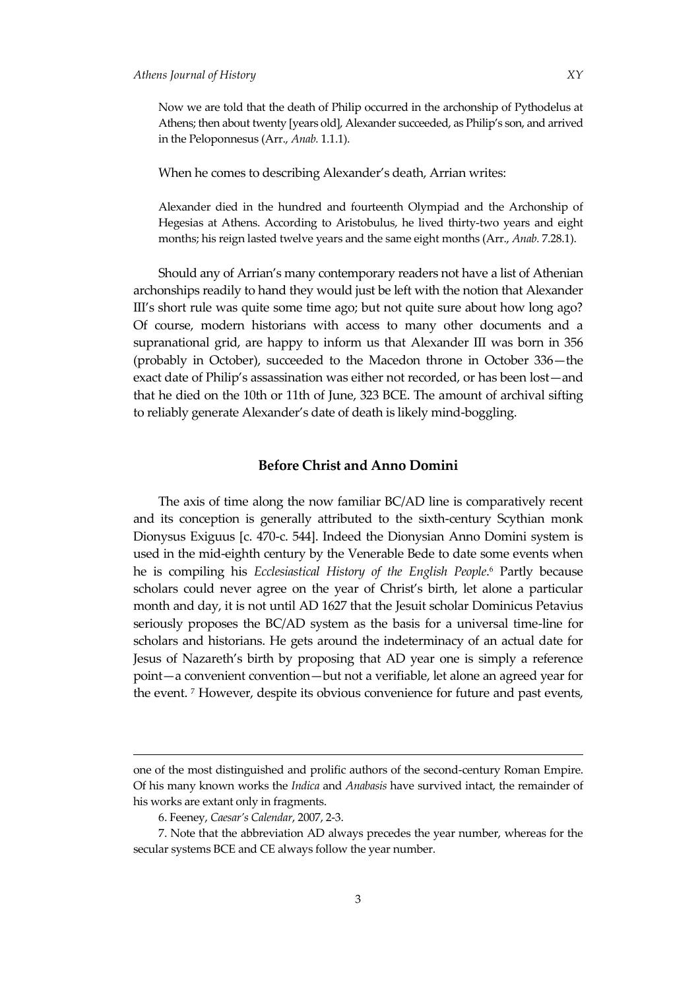Now we are told that the death of Philip occurred in the archonship of Pythodelus at Athens; then about twenty [years old], Alexander succeeded, as Philip's son, and arrived in the Peloponnesus (Arr., *Anab.* 1.1.1).

When he comes to describing Alexander's death, Arrian writes:

Alexander died in the hundred and fourteenth Olympiad and the Archonship of Hegesias at Athens. According to Aristobulus, he lived thirty-two years and eight months; his reign lasted twelve years and the same eight months (Arr., *Anab.* 7.28.1).

Should any of Arrian's many contemporary readers not have a list of Athenian archonships readily to hand they would just be left with the notion that Alexander III's short rule was quite some time ago; but not quite sure about how long ago? Of course, modern historians with access to many other documents and a supranational grid, are happy to inform us that Alexander III was born in 356 (probably in October), succeeded to the Macedon throne in October 336—the exact date of Philip's assassination was either not recorded, or has been lost—and that he died on the 10th or 11th of June, 323 BCE. The amount of archival sifting to reliably generate Alexander's date of death is likely mind-boggling.

### **Before Christ and Anno Domini**

The axis of time along the now familiar BC/AD line is comparatively recent and its conception is generally attributed to the sixth-century Scythian monk Dionysus Exiguus [c. 470-c. 544]. Indeed the Dionysian Anno Domini system is used in the mid-eighth century by the Venerable Bede to date some events when he is compiling his *[Ecclesiastical History of the English People](https://en.wikipedia.org/wiki/Ecclesiastical_History_of_the_English_People)*. <sup>6</sup> Partly because scholars could never agree on the year of Christ's birth, let alone a particular month and day, it is not until AD 1627 that the Jesuit scholar Dominicus Petavius seriously proposes the BC/AD system as the basis for a universal time-line for scholars and historians. He gets around the indeterminacy of an actual date for Jesus of Nazareth's birth by proposing that AD year one is simply a reference point—a convenient convention—but not a verifiable, let alone an agreed year for the event. <sup>7</sup> However, despite its obvious convenience for future and past events,

<u>.</u>

one of the most distinguished and prolific authors of the second-century Roman Empire. Of his many known works the *Indica* and *Anabasis* have survived intact, the remainder of his works are extant only in fragments.

<sup>6.</sup> Feeney, *Caesar's Calendar*, 2007, 2-3.

<sup>7.</sup> Note that the abbreviation AD always precedes the year number, whereas for the secular systems BCE and CE always follow the year number.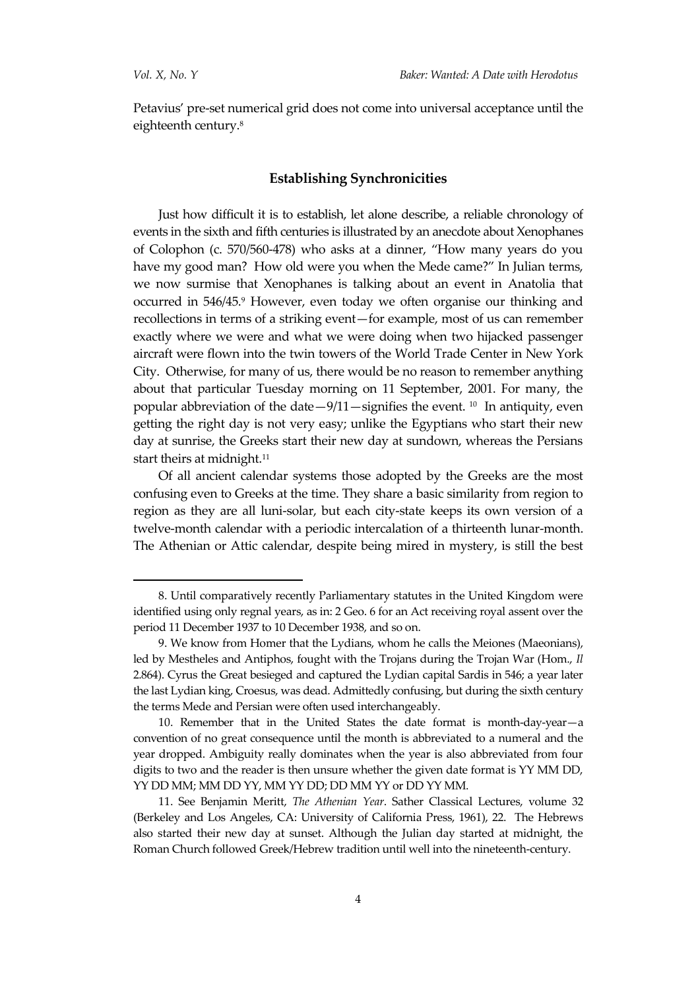Petavius' pre-set numerical grid does not come into universal acceptance until the eighteenth century.<sup>8</sup>

### **Establishing Synchronicities**

Just how difficult it is to establish, let alone describe, a reliable chronology of events in the sixth and fifth centuries is illustrated by an anecdote about Xenophanes of Colophon (c. 570/560-478) who asks at a dinner, 'How many years do you have my good man? How old were you when the Mede came?" In Julian terms, we now surmise that Xenophanes is talking about an event in Anatolia that occurred in 546/45.9 However, even today we often organise our thinking and recollections in terms of a striking event—for example, most of us can remember exactly where we were and what we were doing when two hijacked passenger aircraft were flown into the twin towers of the World Trade Center in New York City. Otherwise, for many of us, there would be no reason to remember anything about that particular Tuesday morning on 11 September, 2001. For many, the popular abbreviation of the date—9/11—signifies the event. <sup>10</sup> In antiquity, even getting the right day is not very easy; unlike the Egyptians who start their new day at sunrise, the Greeks start their new day at sundown, whereas the Persians start theirs at midnight.<sup>11</sup>

Of all ancient calendar systems those adopted by the Greeks are the most confusing even to Greeks at the time. They share a basic similarity from region to region as they are all luni-solar, but each city-state keeps its own version of a twelve-month calendar with a periodic intercalation of a thirteenth lunar-month. The Athenian or Attic calendar, despite being mired in mystery, is still the best

<sup>8.</sup> Until comparatively recently Parliamentary statutes in the United Kingdom were identified using only regnal years, as in: 2 Geo. 6 for an Act receiving royal assent over the period 11 December 1937 to 10 December 1938, and so on.

<sup>9.</sup> We know from Homer that the Lydians, whom he calls the Meiones (Maeonians), led by Mestheles and Antiphos, fought with the Trojans during the Trojan War (Hom., *Il* 2.864). Cyrus the Great besieged and captured the Lydian capital Sardis in 546; a year later the last Lydian king, Croesus, was dead. Admittedly confusing, but during the sixth century the terms Mede and Persian were often used interchangeably.

<sup>10.</sup> Remember that in the United States the date format is month-day-year—a convention of no great consequence until the month is abbreviated to a numeral and the year dropped. Ambiguity really dominates when the year is also abbreviated from four digits to two and the reader is then unsure whether the given date format is YY MM DD, YY DD MM; MM DD YY, MM YY DD; DD MM YY or DD YY MM.

<sup>11.</sup> See Benjamin Meritt, *The Athenian Year*. Sather Classical Lectures, volume 32 (Berkeley and Los Angeles, CA: University of California Press, 1961), 22. The Hebrews also started their new day at sunset. Although the Julian day started at midnight, the Roman Church followed Greek/Hebrew tradition until well into the nineteenth-century.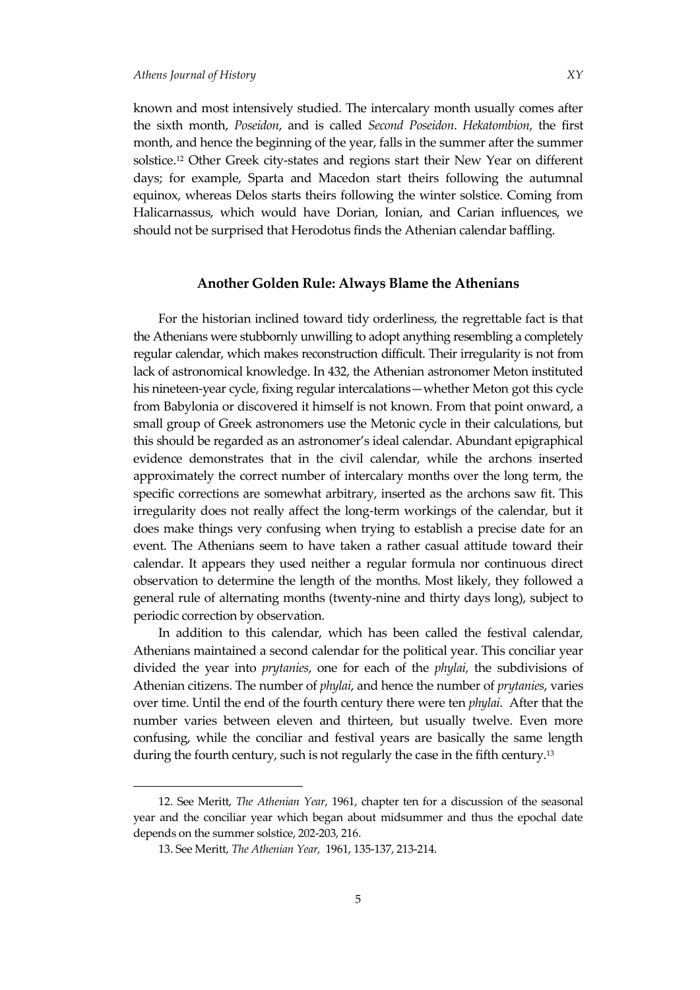known and most intensively studied. The intercalary month usually comes after the sixth month, *Poseidon*, and is called *Second Poseidon*. *Hekatombion*, the first month, and hence the beginning of the year, falls in the summer after the summer solstice.<sup>12</sup> Other Greek city-states and regions start their New Year on different days; for example, Sparta and Macedon start theirs following the autumnal equinox, whereas Delos starts theirs following the winter solstice. Coming from Halicarnassus, which would have Dorian, Ionian, and Carian influences, we should not be surprised that Herodotus finds the Athenian calendar baffling.

### **Another Golden Rule: Always Blame the Athenians**

For the historian inclined toward tidy orderliness, the regrettable fact is that the Athenians were stubbornly unwilling to adopt anything resembling a completely regular calendar, which makes reconstruction difficult. Their irregularity is not from lack of astronomical knowledge. In 432, the Athenian astronomer Meton instituted his nineteen-year cycle, fixing regular intercalations—whether Meton got this cycle from Babylonia or discovered it himself is not known. From that point onward, a small group of Greek astronomers use the Metonic cycle in their calculations, but this should be regarded as an astronomer's ideal calendar. Abundant epigraphical evidence demonstrates that in the civil calendar, while the archons inserted approximately the correct number of intercalary months over the long term, the specific corrections are somewhat arbitrary, inserted as the archons saw fit. This irregularity does not really affect the long-term workings of the calendar, but it does make things very confusing when trying to establish a precise date for an event. The Athenians seem to have taken a rather casual attitude toward their calendar. It appears they used neither a regular formula nor continuous direct observation to determine the length of the months. Most likely, they followed a general rule of alternating months (twenty-nine and thirty days long), subject to periodic correction by observation.

In addition to this calendar, which has been called the festival calendar, Athenians maintained a second calendar for the political year. This conciliar year divided the year into *prytanies*, one for each of the *phylai,* the subdivisions of Athenian citizens. The number of *phylai*, and hence the number of *prytanies*, varies over time. Until the end of the fourth century there were ten *phylai*. After that the number varies between eleven and thirteen, but usually twelve. Even more confusing, while the conciliar and festival years are basically the same length during the fourth century, such is not regularly the case in the fifth century.<sup>13</sup>

<sup>12.</sup> See Meritt, *The Athenian Year*, 1961, chapter ten for a discussion of the seasonal year and the conciliar year which began about midsummer and thus the epochal date depends on the summer solstice, 202-203, 216.

<sup>13.</sup> See Meritt, *The Athenian Year,* 1961, 135-137, 213-214.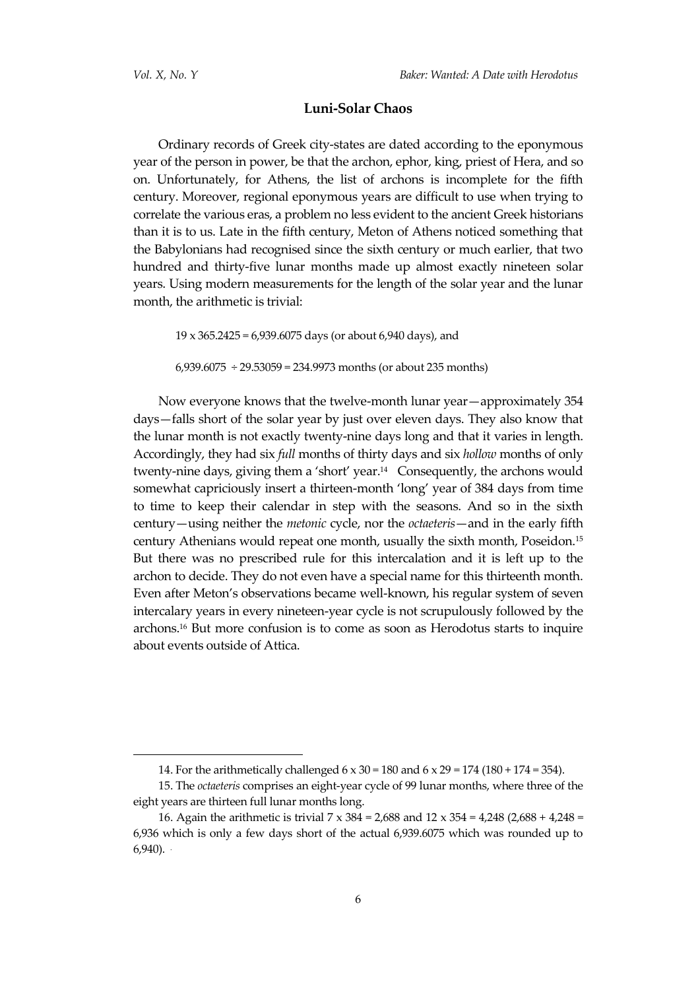### **Luni-Solar Chaos**

Ordinary records of Greek city-states are dated according to the eponymous year of the person in power, be that the archon, ephor, king, priest of Hera, and so on. Unfortunately, for Athens, the list of archons is incomplete for the fifth century. Moreover, regional eponymous years are difficult to use when trying to correlate the various eras, a problem no less evident to the ancient Greek historians than it is to us. Late in the fifth century, Meton of Athens noticed something that the Babylonians had recognised since the sixth century or much earlier, that two hundred and thirty-five lunar months made up almost exactly nineteen solar years. Using modern measurements for the length of the solar year and the lunar month, the arithmetic is trivial:

19 x 365.2425 = 6,939.6075 days (or about 6,940 days), and  $6,939.6075 \div 29.53059 = 234.9973$  months (or about 235 months)

Now everyone knows that the twelve-month lunar year—approximately 354 days—falls short of the solar year by just over eleven days. They also know that the lunar month is not exactly twenty-nine days long and that it varies in length. Accordingly, they had six *full* months of thirty days and six *hollow* months of only twenty-nine days, giving them a 'short' year.<sup>14</sup> Consequently, the archons would somewhat capriciously insert a thirteen-month 'long' year of 384 days from time to time to keep their calendar in step with the seasons. And so in the sixth century—using neither the *metonic* cycle, nor the *octaeteris*—and in the early fifth century Athenians would repeat one month, usually the sixth month, Poseidon.<sup>15</sup> But there was no prescribed rule for this intercalation and it is left up to the archon to decide. They do not even have a special name for this thirteenth month. Even after Meton's observations became well-known, his regular system of seven intercalary years in every nineteen-year cycle is not scrupulously followed by the archons.<sup>16</sup> But more confusion is to come as soon as Herodotus starts to inquire about events outside of Attica.

<sup>14.</sup> For the arithmetically challenged 6 x 30 = 180 and 6 x 29 = 174 (180 + 174 = 354).

<sup>15.</sup> The *octaeteris* comprises an eight-year cycle of 99 lunar months, where three of the eight years are thirteen full lunar months long.

<sup>16.</sup> Again the arithmetic is trivial 7 x 384 = 2,688 and 12 x 354 = 4,248 (2,688 + 4,248 = 6,936 which is only a few days short of the actual 6,939.6075 which was rounded up to  $6,940$ ).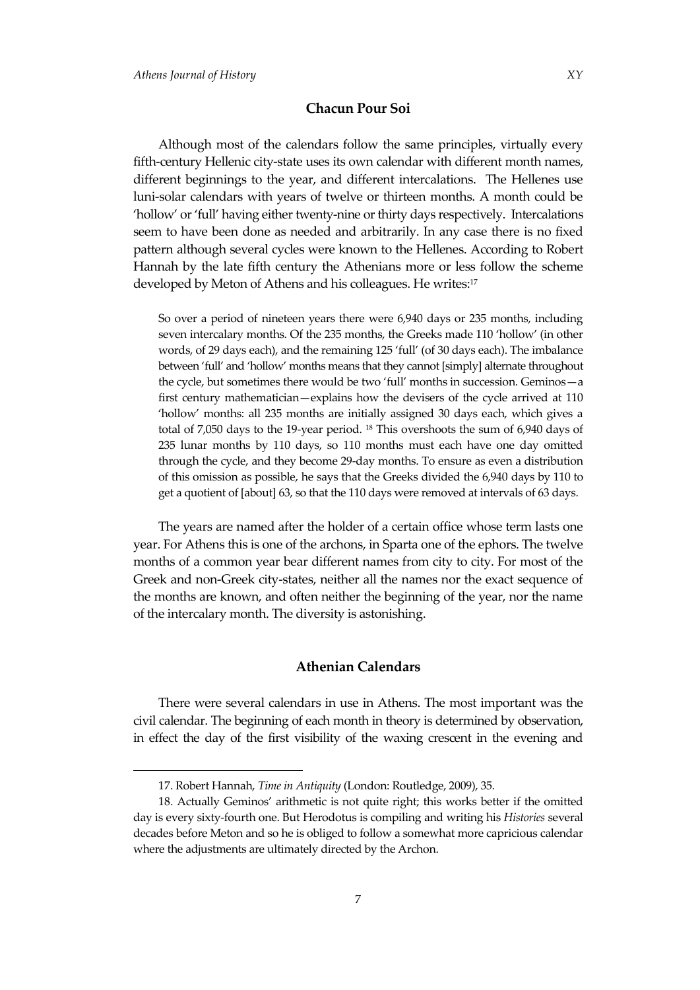Although most of the calendars follow the same principles, virtually every fifth-century Hellenic city-state uses its own calendar with different month names, different beginnings to the year, and different intercalations. The Hellenes use luni-solar calendars with years of twelve or thirteen months. A month could be 'hollow' or 'full' having either twenty-nine or thirty days respectively. Intercalations seem to have been done as needed and arbitrarily. In any case there is no fixed pattern although several cycles were known to the Hellenes. According to Robert Hannah by the late fifth century the Athenians more or less follow the scheme developed by Meton of Athens and his colleagues. He writes:<sup>17</sup>

So over a period of nineteen years there were 6,940 days or 235 months, including seven intercalary months. Of the 235 months, the Greeks made 110 'hollow' (in other words, of 29 days each), and the remaining 125 'full' (of 30 days each). The imbalance between 'full' and 'hollow' months means that they cannot [simply] alternate throughout the cycle, but sometimes there would be two 'full' months in succession. Geminos—a first century mathematician—explains how the devisers of the cycle arrived at 110 'hollow' months: all 235 months are initially assigned 30 days each, which gives a total of 7,050 days to the 19-year period. <sup>18</sup> This overshoots the sum of 6,940 days of 235 lunar months by 110 days, so 110 months must each have one day omitted through the cycle, and they become 29-day months. To ensure as even a distribution of this omission as possible, he says that the Greeks divided the 6,940 days by 110 to get a quotient of [about] 63, so that the 110 days were removed at intervals of 63 days.

The years are named after the holder of a certain office whose term lasts one year. For Athens this is one of the archons, in Sparta one of the ephors. The twelve months of a common year bear different names from city to city. For most of the Greek and non-Greek city-states, neither all the names nor the exact sequence of the months are known, and often neither the beginning of the year, nor the name of the intercalary month. The diversity is astonishing.

## **Athenian Calendars**

There were several calendars in use in Athens. The most important was the civil calendar. The beginning of each month in theory is determined by observation, in effect the day of the first visibility of the waxing crescent in the evening and

<sup>17.</sup> Robert Hannah, *Time in Antiquity* (London: Routledge, 2009), 35.

<sup>18.</sup> Actually Geminos' arithmetic is not quite right; this works better if the omitted day is every sixty-fourth one. But Herodotus is compiling and writing his *Histories* several decades before Meton and so he is obliged to follow a somewhat more capricious calendar where the adjustments are ultimately directed by the Archon.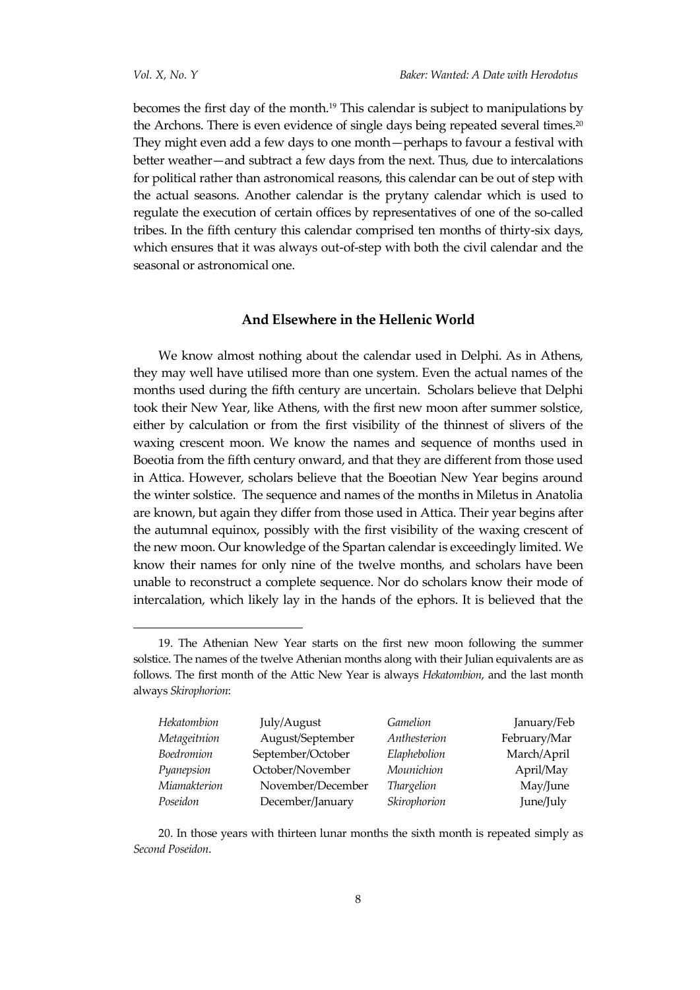becomes the first day of the month.<sup>19</sup> This calendar is subject to manipulations by the Archons. There is even evidence of single days being repeated several times.<sup>20</sup> They might even add a few days to one month—perhaps to favour a festival with better weather—and subtract a few days from the next. Thus, due to intercalations for political rather than astronomical reasons, this calendar can be out of step with the actual seasons. Another calendar is the prytany calendar which is used to regulate the execution of certain offices by representatives of one of the so-called tribes. In the fifth century this calendar comprised ten months of thirty-six days, which ensures that it was always out-of-step with both the civil calendar and the seasonal or astronomical one.

### **And Elsewhere in the Hellenic World**

We know almost nothing about the calendar used in Delphi. As in Athens, they may well have utilised more than one system. Even the actual names of the months used during the fifth century are uncertain. Scholars believe that Delphi took their New Year, like Athens, with the first new moon after summer solstice, either by calculation or from the first visibility of the thinnest of slivers of the waxing crescent moon. We know the names and sequence of months used in Boeotia from the fifth century onward, and that they are different from those used in Attica. However, scholars believe that the Boeotian New Year begins around the winter solstice. The sequence and names of the months in Miletus in Anatolia are known, but again they differ from those used in Attica. Their year begins after the autumnal equinox, possibly with the first visibility of the waxing crescent of the new moon. Our knowledge of the Spartan calendar is exceedingly limited. We know their names for only nine of the twelve months, and scholars have been unable to reconstruct a complete sequence. Nor do scholars know their mode of intercalation, which likely lay in the hands of the ephors. It is believed that the

<sup>19.</sup> The Athenian New Year starts on the first new moon following the summer solstice. The names of the twelve Athenian months along with their Julian equivalents are as follows. The first month of the Attic New Year is always *Hekatombion*, and the last month always *Skirophorion*:

| Hekatombion  | July/August       | Gamelion     | January/Feb  |
|--------------|-------------------|--------------|--------------|
| Metageitnion | August/September  | Anthesterion | February/Mar |
| Boedromion   | September/October | Elaphebolion | March/April  |
| Pyanepsion   | October/November  | Mounichion   | April/May    |
| Miamakterion | November/December | Thargelion   | May/June     |
| Poseidon     | December/January  | Skirophorion | June/July    |

20. In those years with thirteen lunar months the sixth month is repeated simply as *Second Poseidon*.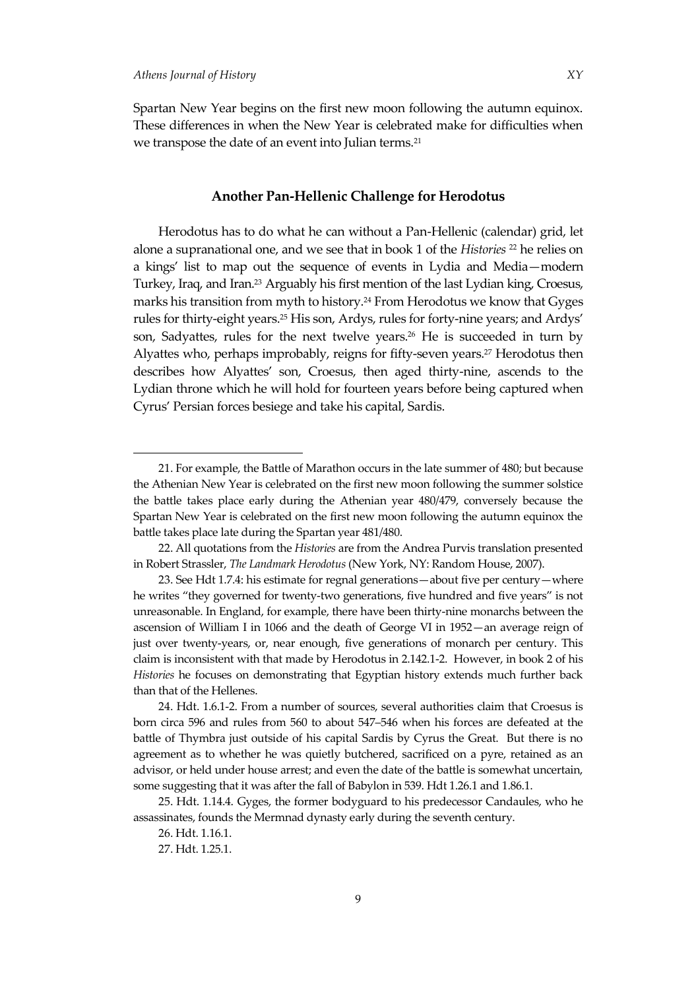Spartan New Year begins on the first new moon following the autumn equinox. These differences in when the New Year is celebrated make for difficulties when we transpose the date of an event into Julian terms.<sup>21</sup>

# **Another Pan-Hellenic Challenge for Herodotus**

Herodotus has to do what he can without a Pan-Hellenic (calendar) grid, let alone a supranational one, and we see that in book 1 of the *Histories* <sup>22</sup> he relies on a kings' list to map out the sequence of events in Lydia and Media—modern Turkey, Iraq, and Iran.<sup>23</sup> Arguably his first mention of the last Lydian king, Croesus, marks his transition from myth to history.<sup>24</sup> From Herodotus we know that Gyges rules for thirty-eight years.<sup>25</sup> His son, Ardys, rules for forty-nine years; and Ardys' son, Sadyattes, rules for the next twelve years.<sup>26</sup> He is succeeded in turn by Alyattes who, perhaps improbably, reigns for fifty-seven years.<sup>27</sup> Herodotus then describes how Alyattes' son, Croesus, then aged thirty-nine, ascends to the Lydian throne which he will hold for fourteen years before being captured when Cyrus' Persian forces besiege and take his capital, Sardis.

<sup>21.</sup> For example, the Battle of Marathon occurs in the late summer of 480; but because the Athenian New Year is celebrated on the first new moon following the summer solstice the battle takes place early during the Athenian year 480/479, conversely because the Spartan New Year is celebrated on the first new moon following the autumn equinox the battle takes place late during the Spartan year 481/480.

<sup>22.</sup> All quotations from the *Histories* are from the Andrea Purvis translation presented in Robert Strassler, *The Landmark Herodotus* (New York, NY: Random House, 2007).

<sup>23.</sup> See Hdt 1.7.4: his estimate for regnal generations—about five per century—where he writes 'they governed for twenty-two generations, five hundred and five years' is not unreasonable. In England, for example, there have been thirty-nine monarchs between the ascension of William I in 1066 and the death of George VI in 1952—an average reign of just over twenty-years, or, near enough, five generations of monarch per century. This claim is inconsistent with that made by Herodotus in 2.142.1-2. However, in book 2 of his *Histories* he focuses on demonstrating that Egyptian history extends much further back than that of the Hellenes.

<sup>24.</sup> Hdt. 1.6.1-2. From a number of sources, several authorities claim that Croesus is born circa 596 and rules from 560 to about 547‒546 when his forces are defeated at the battle of Thymbra just outside of his capital Sardis by Cyrus the Great. But there is no agreement as to whether he was quietly butchered, sacrificed on a pyre, retained as an advisor, or held under house arrest; and even the date of the battle is somewhat uncertain, some suggesting that it was after the fall of Babylon in 539. Hdt 1.26.1 and 1.86.1.

<sup>25.</sup> Hdt. 1.14.4. Gyges, the former bodyguard to his predecessor Candaules, who he assassinates, founds the Mermnad dynasty early during the seventh century.

<sup>26.</sup> Hdt. 1.16.1.

<sup>27.</sup> Hdt. 1.25.1.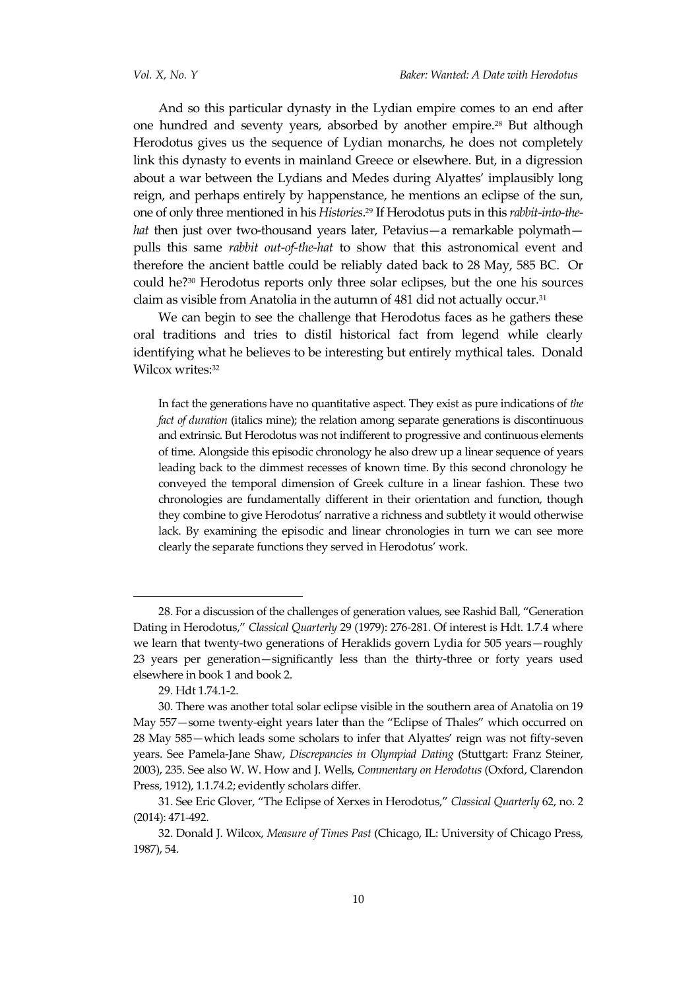And so this particular dynasty in the Lydian empire comes to an end after one hundred and seventy years, absorbed by another empire.<sup>28</sup> But although Herodotus gives us the sequence of Lydian monarchs, he does not completely link this dynasty to events in mainland Greece or elsewhere. But, in a digression about a war between the Lydians and Medes during Alyattes' implausibly long reign, and perhaps entirely by happenstance, he mentions an eclipse of the sun, one of only three mentioned in his *Histories*. <sup>29</sup> If Herodotus puts in this *rabbit-into-thehat* then just over two-thousand years later, Petavius—a remarkable polymath pulls this same *rabbit out-of-the-hat* to show that this astronomical event and therefore the ancient battle could be reliably dated back to 28 May, 585 BC. Or could he?<sup>30</sup> Herodotus reports only three solar eclipses, but the one his sources claim as visible from Anatolia in the autumn of 481 did not actually occur.<sup>31</sup>

We can begin to see the challenge that Herodotus faces as he gathers these oral traditions and tries to distil historical fact from legend while clearly identifying what he believes to be interesting but entirely mythical tales. Donald Wilcox writes: 32

In fact the generations have no quantitative aspect. They exist as pure indications of *the fact of duration* (italics mine); the relation among separate generations is discontinuous and extrinsic. But Herodotus was not indifferent to progressive and continuous elements of time. Alongside this episodic chronology he also drew up a linear sequence of years leading back to the dimmest recesses of known time. By this second chronology he conveyed the temporal dimension of Greek culture in a linear fashion. These two chronologies are fundamentally different in their orientation and function, though they combine to give Herodotus' narrative a richness and subtlety it would otherwise lack. By examining the episodic and linear chronologies in turn we can see more clearly the separate functions they served in Herodotus' work.

<sup>28</sup>. For a discussion of the challenges of generation values, see Rashid Ball, 'Generation Dating in Herodotus,' *Classical Quarterly* 29 (1979): 276-281. Of interest is Hdt. 1.7.4 where we learn that twenty-two generations of Heraklids govern Lydia for 505 years—roughly 23 years per generation—significantly less than the thirty-three or forty years used elsewhere in book 1 and book 2.

<sup>29.</sup> Hdt 1.74.1-2.

<sup>30.</sup> There was another total solar eclipse visible in the southern area of Anatolia on 19 May 557—some twenty-eight years later than the 'Eclipse of Thales' which occurred on 28 May 585—which leads some scholars to infer that Alyattes' reign was not fifty-seven years. See Pamela-Jane Shaw, *Discrepancies in Olympiad Dating* (Stuttgart: Franz Steiner, 2003), 235. See also W. W. How and J. Wells, *Commentary on Herodotus* (Oxford, Clarendon Press, 1912), 1.1.74.2; evidently scholars differ.

<sup>31.</sup> See Eric Glover, 'The Eclipse of Xerxes in Herodotus,' *Classical Quarterly* 62, no. 2 (2014): 471-492.

<sup>32.</sup> Donald J. Wilcox, *Measure of Times Past* (Chicago, IL: University of Chicago Press, 1987), 54.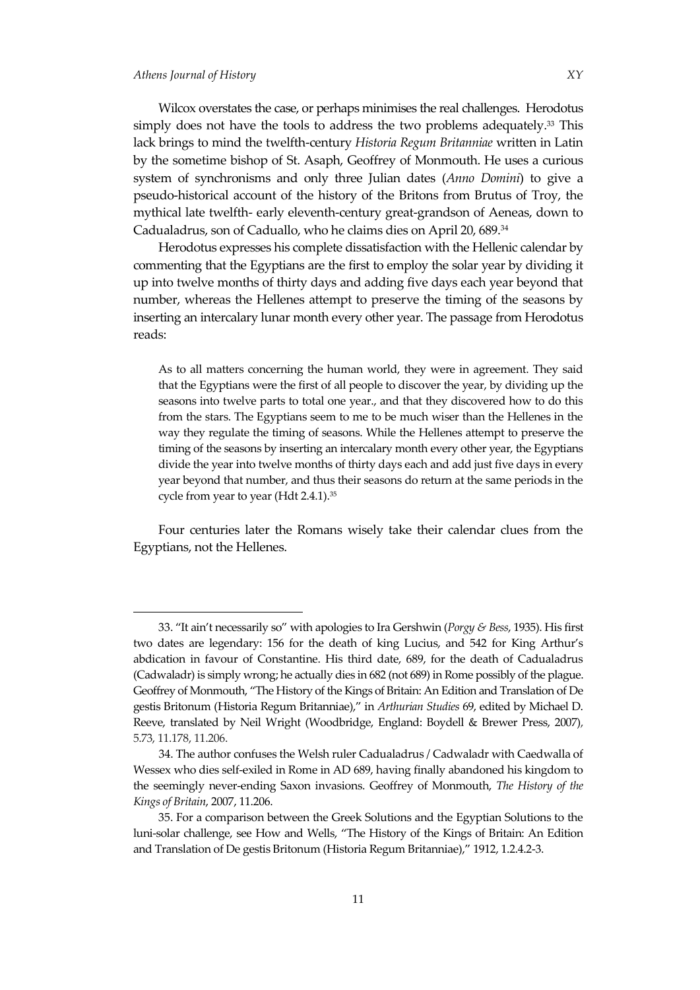Wilcox overstates the case, or perhaps minimises the real challenges. Herodotus simply does not have the tools to address the two problems adequately. <sup>33</sup> This lack brings to mind the twelfth-century *Historia Regum Britanniae* written in Latin by the sometime bishop of St. Asaph, Geoffrey of Monmouth. He uses a curious system of synchronisms and only three Julian dates (*Anno Domini*) to give a pseudo-historical account of the history of the Britons from Brutus of Troy, the mythical late twelfth- early eleventh-century great-grandson of Aeneas, down to Cadualadrus, son of Caduallo, who he claims dies on April 20, 689.<sup>34</sup>

Herodotus expresses his complete dissatisfaction with the Hellenic calendar by commenting that the Egyptians are the first to employ the solar year by dividing it up into twelve months of thirty days and adding five days each year beyond that number, whereas the Hellenes attempt to preserve the timing of the seasons by inserting an intercalary lunar month every other year. The passage from Herodotus reads:

As to all matters concerning the human world, they were in agreement. They said that the Egyptians were the first of all people to discover the year, by dividing up the seasons into twelve parts to total one year., and that they discovered how to do this from the stars. The Egyptians seem to me to be much wiser than the Hellenes in the way they regulate the timing of seasons. While the Hellenes attempt to preserve the timing of the seasons by inserting an intercalary month every other year, the Egyptians divide the year into twelve months of thirty days each and add just five days in every year beyond that number, and thus their seasons do return at the same periods in the cycle from year to year (Hdt 2.4.1).<sup>35</sup>

Four centuries later the Romans wisely take their calendar clues from the Egyptians, not the Hellenes.

<sup>33</sup>. 'It ain't necessarily so' with apologies to Ira Gershwin (*Porgy & Bess*, 1935). His first two dates are legendary: 156 for the death of king Lucius, and 542 for King Arthur's abdication in favour of Constantine. His third date, 689, for the death of Cadualadrus (Cadwaladr) is simply wrong; he actually dies in 682 (not 689) in Rome possibly of the plague. Geoffrey of Monmouth, 'The History of the Kings of Britain: An Edition and Translation of De gestis Britonum (Historia Regum Britanniae),' in *Arthurian Studies* 69, edited by Michael D. Reeve, translated by Neil Wright (Woodbridge, England: Boydell & Brewer Press, 2007), 5.73, 11.178, 11.206.

<sup>34.</sup> The author confuses the Welsh ruler Cadualadrus / Cadwaladr with Caedwalla of Wessex who dies self-exiled in Rome in AD 689, having finally abandoned his kingdom to the seemingly never-ending Saxon invasions. Geoffrey of Monmouth, *The History of the Kings of Britain*, 2007, 11.206.

<sup>35.</sup> For a comparison between the Greek Solutions and the Egyptian Solutions to the luni-solar challenge, see How and Wells, 'The History of the Kings of Britain: An Edition and Translation of De gestis Britonum (Historia Regum Britanniae),' 1912, 1.2.4.2-3.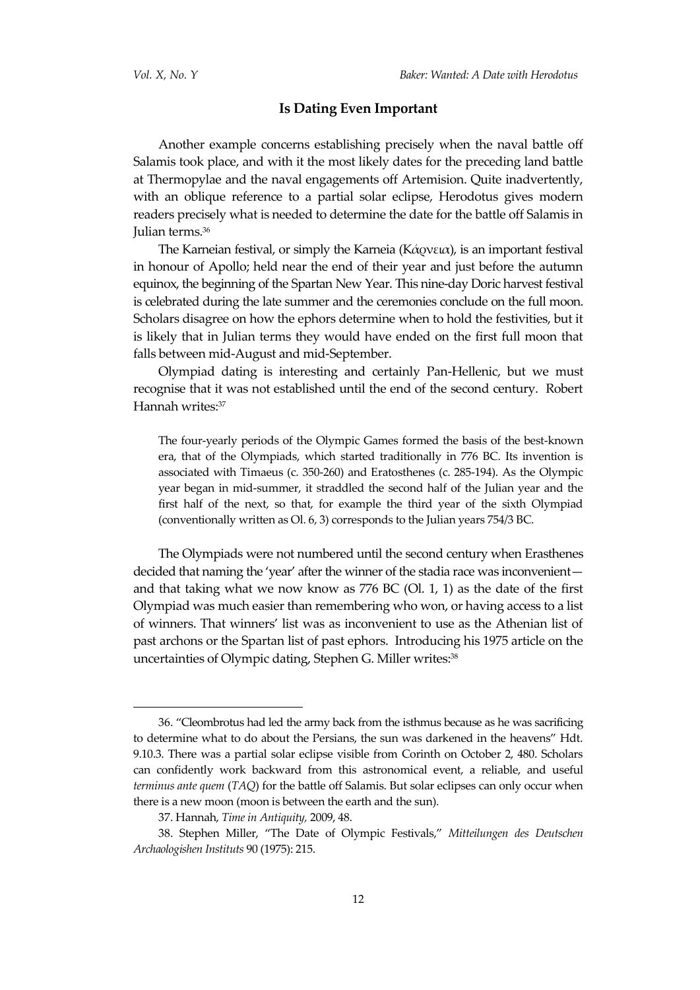### **Is Dating Even Important**

Another example concerns establishing precisely when the naval battle off Salamis took place, and with it the most likely dates for the preceding land battle at Thermopylae and the naval engagements off Artemision. Quite inadvertently, with an oblique reference to a partial solar eclipse, Herodotus gives modern readers precisely what is needed to determine the date for the battle off Salamis in Julian terms.<sup>36</sup>

The Karneian festival, or simply the Karneia (Κάρνεια), is an important festival in honour of Apollo; held near the end of their year and just before the autumn equinox, the beginning of the Spartan New [Year.](http://www.hellenicgods.org/calenderhelleniczodiacal) This nine-day Doric harvest festival is celebrated during the late summer and the ceremonies conclude on the full moon. Scholars disagree on how the ephors determine when to hold the festivities, but it is likely that in Julian terms they would have ended on the first full moon that falls between mid-August and mid-September.

Olympiad dating is interesting and certainly Pan-Hellenic, but we must recognise that it was not established until the end of the second century. Robert Hannah writes: 37

The four-yearly periods of the Olympic Games formed the basis of the best-known era, that of the Olympiads, which started traditionally in 776 BC. Its invention is associated with Timaeus (c. 350-260) and Eratosthenes (c. 285-194). As the Olympic year began in mid-summer, it straddled the second half of the Julian year and the first half of the next, so that, for example the third year of the sixth Olympiad (conventionally written as Ol. 6, 3) corresponds to the Julian years 754/3 BC.

The Olympiads were not numbered until the second century when Erasthenes decided that naming the 'year' after the winner of the stadia race was inconvenient and that taking what we now know as  $776$  BC (Ol. 1, 1) as the date of the first Olympiad was much easier than remembering who won, or having access to a list of winners. That winners' list was as inconvenient to use as the Athenian list of past archons or the Spartan list of past ephors. Introducing his 1975 article on the uncertainties of Olympic dating, Stephen G. Miller writes:<sup>38</sup>

<sup>36</sup>. 'Cleombrotus had led the army back from the isthmus because as he was sacrificing to determine what to do about the Persians, the sun was darkened in the heavens' Hdt. 9.10.3. There was a partial solar eclipse visible from Corinth on October 2, 480. Scholars can confidently work backward from this astronomical event, a reliable, and useful *terminus ante quem* (*TAQ*) for the battle off Salamis. But solar eclipses can only occur when there is a new moon (moon is between the earth and the sun).

<sup>37.</sup> Hannah, *Time in Antiquity,* 2009, 48.

<sup>38</sup>. Stephen Miller, 'The Date of Olympic Festivals,' *Mitteilungen des Deutschen Archaologishen Instituts* 90 (1975): 215.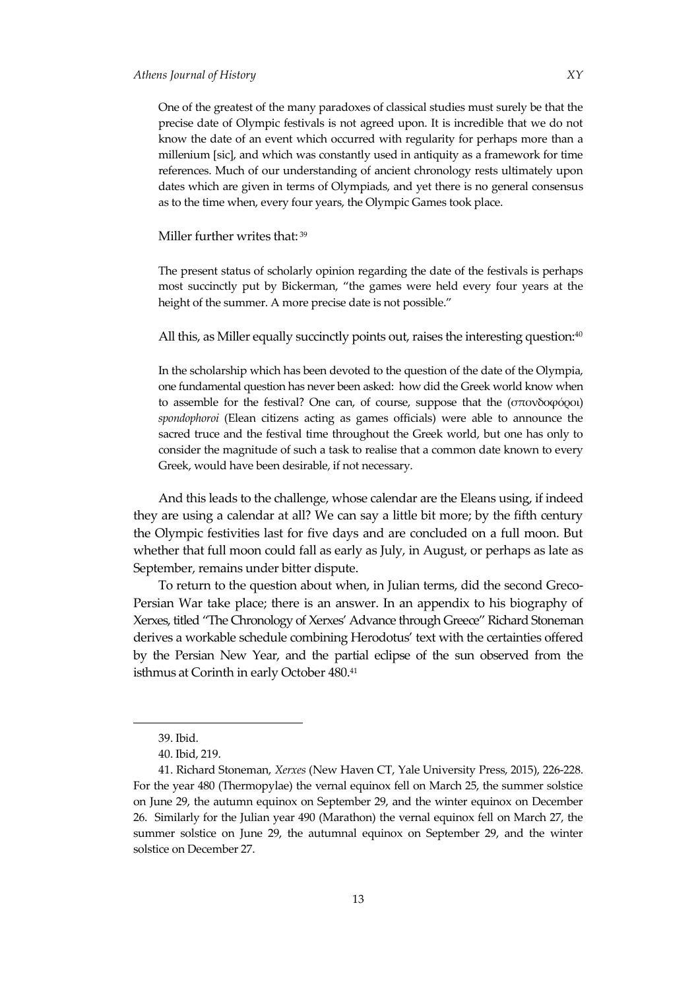One of the greatest of the many paradoxes of classical studies must surely be that the

precise date of Olympic festivals is not agreed upon. It is incredible that we do not know the date of an event which occurred with regularity for perhaps more than a millenium [sic], and which was constantly used in antiquity as a framework for time references. Much of our understanding of ancient chronology rests ultimately upon dates which are given in terms of Olympiads, and yet there is no general consensus as to the time when, every four years, the Olympic Games took place.

Miller further writes that: <sup>39</sup>

The present status of scholarly opinion regarding the date of the festivals is perhaps most succinctly put by Bickerman, 'the games were held every four years at the height of the summer. A more precise date is not possible."

All this, as Miller equally succinctly points out, raises the interesting question:<sup>40</sup>

In the scholarship which has been devoted to the question of the date of the Olympia, one fundamental question has never been asked: how did the Greek world know when to assemble for the festival? One can, of course, suppose that the ([σπονδοφόροι](http://www.perseus.tufts.edu/hopper/morph?l=spondofo%2Froi&la=greek&can=spondofo%2Froi0&prior=spondai/)) *spondophoroi* (Elean citizens acting as games officials) were able to announce the sacred truce and the festival time throughout the Greek world, but one has only to consider the magnitude of such a task to realise that a common date known to every Greek, would have been desirable, if not necessary.

And this leads to the challenge, whose calendar are the Eleans using, if indeed they are using a calendar at all? We can say a little bit more; by the fifth century the Olympic festivities last for five days and are concluded on a full moon. But whether that full moon could fall as early as July, in August, or perhaps as late as September, remains under bitter dispute.

To return to the question about when, in Julian terms, did the second Greco-Persian War take place; there is an answer. In an appendix to his biography of Xerxes, titled 'The Chronology of Xerxes' Advance through Greece' Richard Stoneman derives a workable schedule combining Herodotus' text with the certainties offered by the Persian New Year, and the partial eclipse of the sun observed from the isthmus at Corinth in early October 480.<sup>41</sup>

<sup>39.</sup> Ibid.

<sup>40.</sup> Ibid, 219.

<sup>41.</sup> Richard Stoneman, *Xerxes* (New Haven CT, Yale University Press, 2015), 226-228. For the year 480 (Thermopylae) the vernal equinox fell on March 25, the summer solstice on June 29, the autumn equinox on September 29, and the winter equinox on December 26. Similarly for the Julian year 490 (Marathon) the vernal equinox fell on March 27, the summer solstice on June 29, the autumnal equinox on September 29, and the winter solstice on December 27.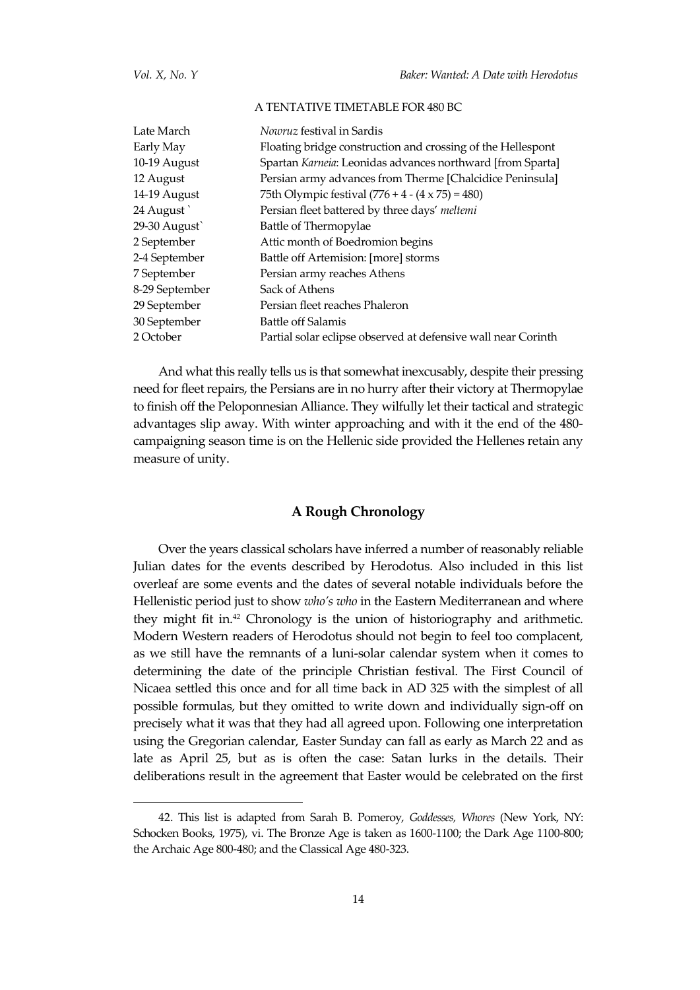#### A TENTATIVE TIMETABLE FOR 480 BC

| Late March     | <i>Nowruz</i> festival in Sardis                              |
|----------------|---------------------------------------------------------------|
| Early May      | Floating bridge construction and crossing of the Hellespont   |
| 10-19 August   | Spartan Karneia: Leonidas advances northward [from Sparta]    |
| 12 August      | Persian army advances from Therme [Chalcidice Peninsula]      |
| 14-19 August   | 75th Olympic festival $(776 + 4 - (4 \times 75) = 480)$       |
| 24 August      | Persian fleet battered by three days' meltemi                 |
| 29-30 August   | Battle of Thermopylae                                         |
| 2 September    | Attic month of Boedromion begins                              |
| 2-4 September  | Battle off Artemision: [more] storms                          |
| 7 September    | Persian army reaches Athens                                   |
| 8-29 September | Sack of Athens                                                |
| 29 September   | Persian fleet reaches Phaleron                                |
| 30 September   | Battle off Salamis                                            |
| 2 October      | Partial solar eclipse observed at defensive wall near Corinth |

And what this really tells us is that somewhat inexcusably, despite their pressing need for fleet repairs, the Persians are in no hurry after their victory at Thermopylae to finish off the Peloponnesian Alliance. They wilfully let their tactical and strategic advantages slip away. With winter approaching and with it the end of the 480 campaigning season time is on the Hellenic side provided the Hellenes retain any measure of unity.

### **A Rough Chronology**

Over the years classical scholars have inferred a number of reasonably reliable Julian dates for the events described by Herodotus. Also included in this list overleaf are some events and the dates of several notable individuals before the Hellenistic period just to show *who's who* in the Eastern Mediterranean and where they might fit in.<sup>42</sup> Chronology is the union of historiography and arithmetic. Modern Western readers of Herodotus should not begin to feel too complacent, as we still have the remnants of a luni-solar calendar system when it comes to determining the date of the principle Christian festival. The First Council of Nicaea settled this once and for all time back in AD 325 with the simplest of all possible formulas, but they omitted to write down and individually sign-off on precisely what it was that they had all agreed upon. Following one interpretation using the Gregorian calendar, Easter Sunday can fall as early as March 22 and as late as April 25, but as is often the case: Satan lurks in the details. Their deliberations result in the agreement that Easter would be celebrated on the first

<sup>42.</sup> This list is adapted from Sarah B. Pomeroy, *Goddesses, Whores* (New York, NY: Schocken Books, 1975), vi. The Bronze Age is taken as 1600-1100; the Dark Age 1100-800; the Archaic Age 800-480; and the Classical Age 480-323.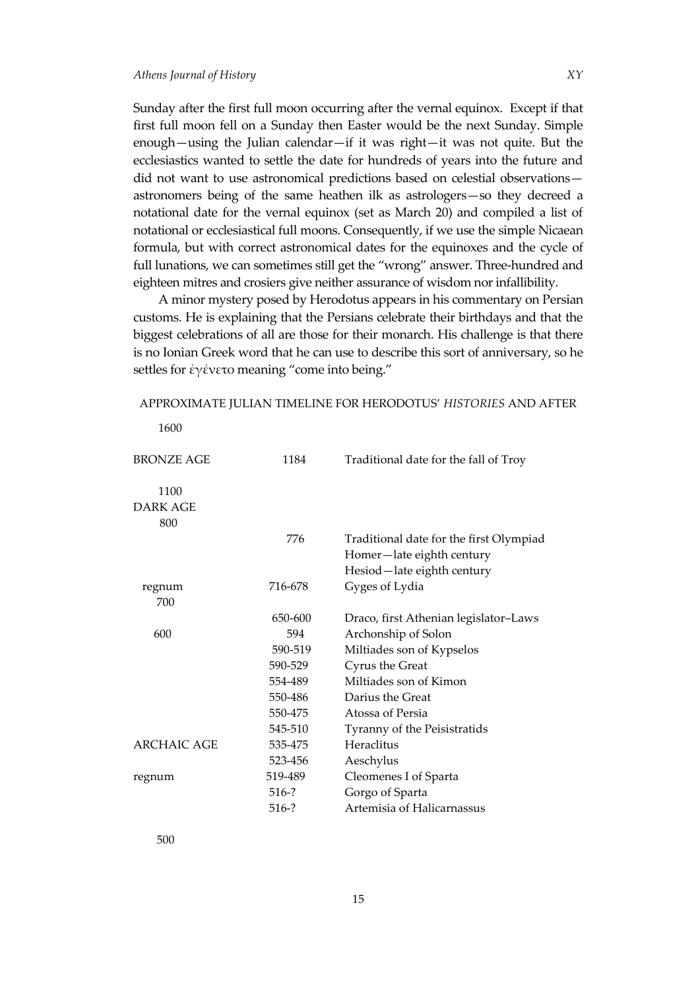Sunday after the first full moon occurring after the vernal equinox. Except if that first full moon fell on a Sunday then Easter would be the next Sunday. Simple enough—using the Julian calendar—if it was right—it was not quite. But the ecclesiastics wanted to settle the date for hundreds of years into the future and did not want to use astronomical predictions based on celestial observations astronomers being of the same heathen ilk as astrologers—so they decreed a notational date for the vernal equinox (set as March 20) and compiled a list of notational or ecclesiastical full moons. Consequently, if we use the simple Nicaean formula, but with correct astronomical dates for the equinoxes and the cycle of full lunations, we can sometimes still get the "wrong" answer. Three-hundred and eighteen mitres and crosiers give neither assurance of wisdom nor infallibility.

A minor mystery posed by Herodotus appears in his commentary on Persian customs. He is explaining that the Persians celebrate their birthdays and that the biggest celebrations of all are those for their monarch. His challenge is that there is no Ionian Greek word that he can use to describe this sort of anniversary, so he settles for [ἐγένετο](http://www.perseus.tufts.edu/hopper/morph?l=e%29ge%2Fneto&la=greek&can=e%29ge%2Fneto0&prior=e(/kastos) meaning "come into being."

| APPROXIMATE JULIAN TIMELINE FOR HERODOTUS' HISTORIES AND AFTER |  |  |
|----------------------------------------------------------------|--|--|
|----------------------------------------------------------------|--|--|

| <b>BRONZE AGE</b>              | 1184    | Traditional date for the fall of Troy   |
|--------------------------------|---------|-----------------------------------------|
| 1100<br><b>DARK AGE</b><br>800 |         |                                         |
|                                | 776     | Traditional date for the first Olympiad |
|                                |         | Homer-late eighth century               |
|                                |         | Hesiod-late eighth century              |
| regnum                         | 716-678 | Gyges of Lydia                          |
| 700                            |         |                                         |
|                                | 650-600 | Draco, first Athenian legislator-Laws   |
| 600                            | 594     | Archonship of Solon                     |
|                                | 590-519 | Miltiades son of Kypselos               |
|                                | 590-529 | Cyrus the Great                         |
|                                | 554-489 | Miltiades son of Kimon                  |
|                                | 550-486 | Darius the Great                        |
|                                | 550-475 | Atossa of Persia                        |
|                                | 545-510 | Tyranny of the Peisistratids            |
| <b>ARCHAIC AGE</b>             | 535-475 | Heraclitus                              |
|                                | 523-456 | Aeschylus                               |
| regnum                         | 519-489 | Cleomenes I of Sparta                   |
|                                | 516-?   | Gorgo of Sparta                         |
|                                | $516-?$ | Artemisia of Halicarnassus              |
|                                |         |                                         |

1600

500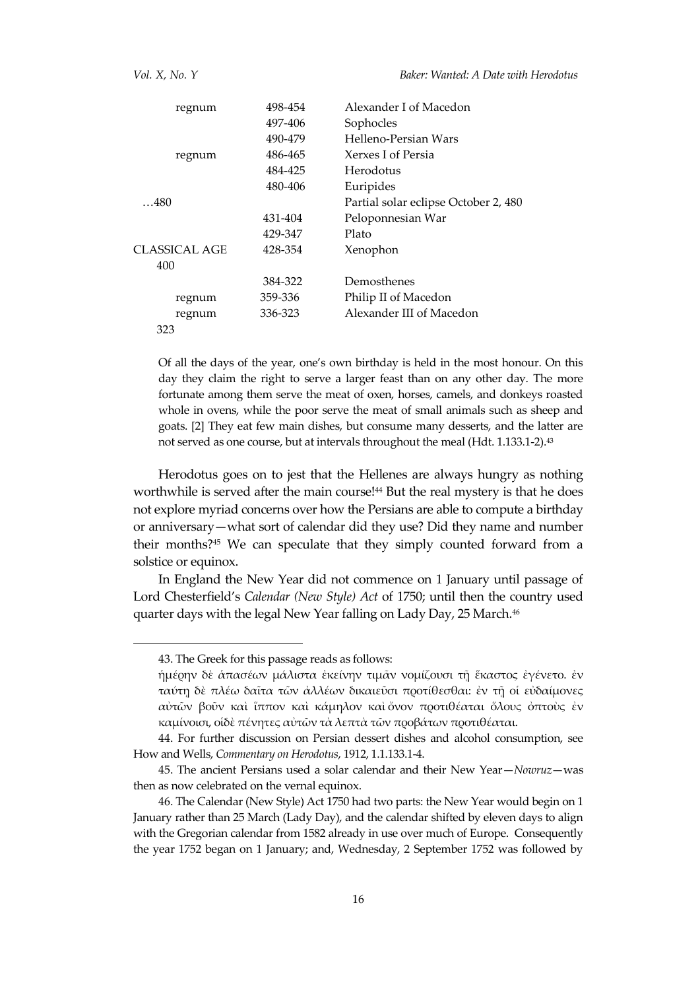| regnum        | 498-454 | Alexander I of Macedon               |
|---------------|---------|--------------------------------------|
|               | 497-406 | Sophocles                            |
|               | 490-479 | Helleno-Persian Wars                 |
| regnum        | 486-465 | Xerxes I of Persia                   |
|               | 484-425 | Herodotus                            |
|               | 480-406 | Euripides                            |
| $\ldots$ 480  |         | Partial solar eclipse October 2, 480 |
|               | 431-404 | Peloponnesian War                    |
|               | 429-347 | Plato                                |
| CLASSICAL AGE | 428-354 | Xenophon                             |
| 400           |         |                                      |
|               | 384-322 | Demosthenes                          |
| regnum        | 359-336 | Philip II of Macedon                 |
| regnum        | 336-323 | Alexander III of Macedon             |
| 323           |         |                                      |
|               |         |                                      |

Of all the days of the year, one's own birthday is held in the most honour. On this day they claim the right to serve a larger feast than on any other day. The more fortunate among them serve the meat of oxen, horses, camels, and donkeys roasted whole in ovens, while the poor serve the meat of small animals such as sheep and goats. [2] They eat few main dishes, but consume many desserts, and the latter are not served as one course, but at intervals throughout the meal (Hdt. 1.133.1-2).<sup>43</sup>

Herodotus goes on to jest that the Hellenes are always hungry as nothing worthwhile is served after the main course!<sup>44</sup> But the real mystery is that he does not explore myriad concerns over how the Persians are able to compute a birthday or anniversary—what sort of calendar did they use? Did they name and number their months?<sup>45</sup> We can speculate that they simply counted forward from a solstice or equinox.

In England the New Year did not commence on 1 January until passage of Lord Chesterfield's *Calendar (New Style) Act* of 1750; until then the country used quarter days with the legal New Year falling on Lady Day, 25 March.<sup>46</sup>

<sup>43.</sup> The Greek for this passage reads as follows:

[ἡμέρην](http://www.perseus.tufts.edu/hopper/morph?l=h%28me%2Frhn&la=greek&can=h%28me%2Frhn0) [δὲ](http://www.perseus.tufts.edu/hopper/morph?l=de%5C&la=greek&can=de%5C0&prior=h(me/rhn) [ἁπασέων](http://www.perseus.tufts.edu/hopper/morph?l=a%28pase%2Fwn&la=greek&can=a%28pase%2Fwn0&prior=de/) [μάλιστα](http://www.perseus.tufts.edu/hopper/morph?l=ma%2Flista&la=greek&can=ma%2Flista0&prior=a(pase/wn) [ἐκείνην](http://www.perseus.tufts.edu/hopper/morph?l=e%29kei%2Fnhn&la=greek&can=e%29kei%2Fnhn0&prior=ma/lista) [τιμᾶν](http://www.perseus.tufts.edu/hopper/morph?l=tima%3Dn&la=greek&can=tima%3Dn0&prior=e)kei/nhn) [νομίζουσι](http://www.perseus.tufts.edu/hopper/morph?l=nomi%2Fzousi&la=greek&can=nomi%2Fzousi0&prior=tima=n) [τῇ](http://www.perseus.tufts.edu/hopper/morph?l=th%3D%7C&la=greek&can=th%3D%7C0&prior=nomi/zousi) [ἕκαστος](http://www.perseus.tufts.edu/hopper/morph?l=e%28%2Fkastos&la=greek&can=e%28%2Fkastos0&prior=th=|) [ἐγένετο](http://www.perseus.tufts.edu/hopper/morph?l=e%29ge%2Fneto&la=greek&can=e%29ge%2Fneto0&prior=e(/kastos). [ἐν](http://www.perseus.tufts.edu/hopper/morph?l=e%29n&la=greek&can=e%29n0&prior=e)ge/neto) [ταύτῃ](http://www.perseus.tufts.edu/hopper/morph?l=tau%2Fth%7C&la=greek&can=tau%2Fth%7C0&prior=e)n) [δὲ](http://www.perseus.tufts.edu/hopper/morph?l=de%5C&la=greek&can=de%5C1&prior=tau/th|) [πλέω](http://www.perseus.tufts.edu/hopper/morph?l=ple%2Fw&la=greek&can=ple%2Fw0&prior=de/) [δαῖτα](http://www.perseus.tufts.edu/hopper/morph?l=dai%3Dta&la=greek&can=dai%3Dta0&prior=ple/w) [τῶν](http://www.perseus.tufts.edu/hopper/morph?l=tw%3Dn&la=greek&can=tw%3Dn0&prior=dai=ta) [ἀλλέων](http://www.perseus.tufts.edu/hopper/morph?l=a%29lle%2Fwn&la=greek&can=a%29lle%2Fwn0&prior=tw=n) [δικαιεῦσι](http://www.perseus.tufts.edu/hopper/morph?l=dikaieu%3Dsi&la=greek&can=dikaieu%3Dsi0&prior=a)lle/wn) [προτίθεσθαι](http://www.perseus.tufts.edu/hopper/morph?l=proti%2Fqesqai&la=greek&can=proti%2Fqesqai0&prior=dikaieu=si): [ἐν](http://www.perseus.tufts.edu/hopper/morph?l=e%29n&la=greek&can=e%29n1&prior=proti/qesqai) [τῇ](http://www.perseus.tufts.edu/hopper/morph?l=th%3D%7C&la=greek&can=th%3D%7C1&prior=e)n) [οἱ](http://www.perseus.tufts.edu/hopper/morph?l=oi%28&la=greek&can=oi%280&prior=th=|) [εὐδαίμονες](http://www.perseus.tufts.edu/hopper/morph?l=eu%29dai%2Fmones&la=greek&can=eu%29dai%2Fmones0&prior=oi() [αὐτῶν](http://www.perseus.tufts.edu/hopper/morph?l=au%29tw%3Dn&la=greek&can=au%29tw%3Dn0&prior=eu)dai/mones) [βοῦν](http://www.perseus.tufts.edu/hopper/morph?l=bou%3Dn&la=greek&can=bou%3Dn0&prior=au)tw=n) [καὶ](http://www.perseus.tufts.edu/hopper/morph?l=kai%5C&la=greek&can=kai%5C0&prior=bou=n) [ἵππον](http://www.perseus.tufts.edu/hopper/morph?l=i%28%2Fppon&la=greek&can=i%28%2Fppon0&prior=kai/) [καὶ](http://www.perseus.tufts.edu/hopper/morph?l=kai%5C&la=greek&can=kai%5C1&prior=i(/ppon) [κάμηλον](http://www.perseus.tufts.edu/hopper/morph?l=ka%2Fmhlon&la=greek&can=ka%2Fmhlon0&prior=kai/) [καὶ](http://www.perseus.tufts.edu/hopper/morph?l=kai%5C&la=greek&can=kai%5C2&prior=ka/mhlon) [ὄνον](http://www.perseus.tufts.edu/hopper/morph?l=o%29%2Fnon&la=greek&can=o%29%2Fnon0&prior=kai/) [προτιθέαται](http://www.perseus.tufts.edu/hopper/morph?l=protiqe%2Fatai&la=greek&can=protiqe%2Fatai0&prior=o)/non) [ὅλους](http://www.perseus.tufts.edu/hopper/morph?l=o%28%2Flous&la=greek&can=o%28%2Flous0&prior=protiqe/atai) [ὀπτοὺς](http://www.perseus.tufts.edu/hopper/morph?l=o%29ptou%5Cs&la=greek&can=o%29ptou%5Cs0&prior=o(/lous) [ἐν](http://www.perseus.tufts.edu/hopper/morph?l=e%29n&la=greek&can=e%29n2&prior=o)ptou/s) [καμίνοισι](http://www.perseus.tufts.edu/hopper/morph?l=kami%2Fnoisi&la=greek&can=kami%2Fnoisi0&prior=e)n), [οἱδὲ](http://www.perseus.tufts.edu/hopper/morph?l=oi%28&la=greek&can=oi%281&prior=kami/noisi) [πένητες](http://www.perseus.tufts.edu/hopper/morph?l=pe%2Fnhtes&la=greek&can=pe%2Fnhtes0&prior=de/) [αὐτῶν](http://www.perseus.tufts.edu/hopper/morph?l=au%29tw%3Dn&la=greek&can=au%29tw%3Dn1&prior=pe/nhtes) [τὰ](http://www.perseus.tufts.edu/hopper/morph?l=ta%5C&la=greek&can=ta%5C0&prior=au)tw=n) [λεπτὰ](http://www.perseus.tufts.edu/hopper/morph?l=lepta%5C&la=greek&can=lepta%5C0&prior=ta/) [τῶν](http://www.perseus.tufts.edu/hopper/morph?l=tw%3Dn&la=greek&can=tw%3Dn1&prior=lepta/) [προβάτων](http://www.perseus.tufts.edu/hopper/morph?l=proba%2Ftwn&la=greek&can=proba%2Ftwn0&prior=tw=n) [προτιθέαται](http://www.perseus.tufts.edu/hopper/morph?l=protiqe%2Fatai&la=greek&can=protiqe%2Fatai1&prior=proba/twn).

<sup>44.</sup> For further discussion on Persian dessert dishes and alcohol consumption, see How and Wells, *Commentary on Herodotus*, 1912, 1.1.133.1-4.

<sup>45.</sup> The ancient Persians used a solar calendar and their New Year—*Nowruz*—was then as now celebrated on the vernal equinox.

<sup>46.</sup> The Calendar (New Style) Act 1750 had two parts: the New Year would begin on 1 January rather than 25 March (Lady Day), and the calendar shifted by eleven days to align with the Gregorian calendar from 1582 already in use over much of Europe. Consequently the year 1752 began on 1 January; and, Wednesday, 2 September 1752 was followed by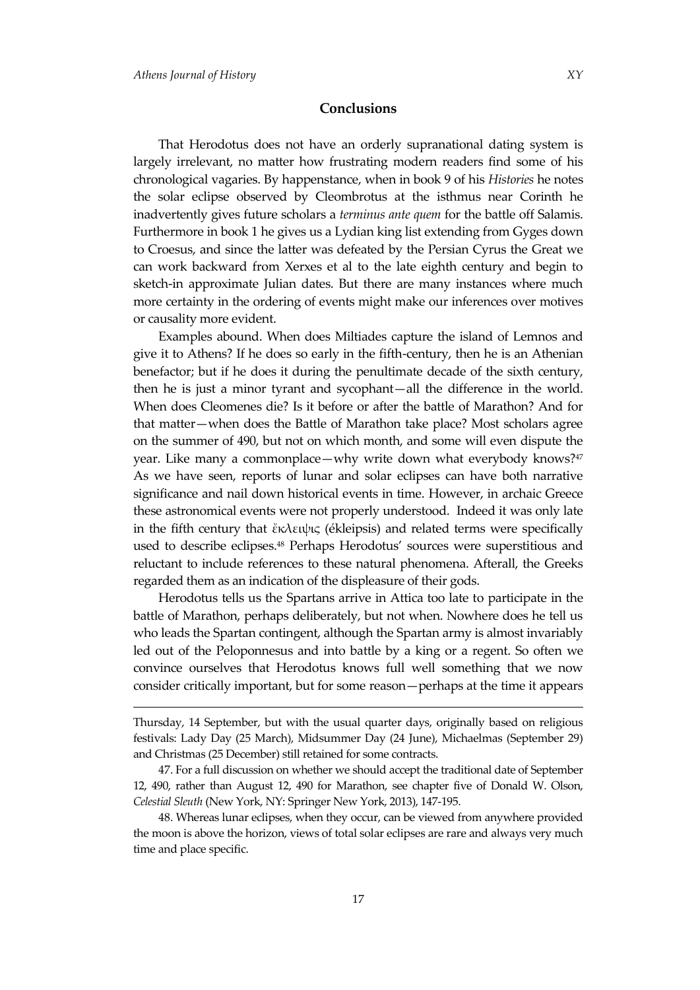<u>.</u>

That Herodotus does not have an orderly supranational dating system is largely irrelevant, no matter how frustrating modern readers find some of his chronological vagaries. By happenstance, when in book 9 of his *Histories* he notes the solar eclipse observed by Cleombrotus at the isthmus near Corinth he inadvertently gives future scholars a *terminus ante quem* for the battle off Salamis. Furthermore in book 1 he gives us a Lydian king list extending from Gyges down to Croesus, and since the latter was defeated by the Persian Cyrus the Great we can work backward from Xerxes et al to the late eighth century and begin to sketch-in approximate Julian dates. But there are many instances where much more certainty in the ordering of events might make our inferences over motives or causality more evident.

Examples abound. When does Miltiades capture the island of Lemnos and give it to Athens? If he does so early in the fifth-century, then he is an Athenian benefactor; but if he does it during the penultimate decade of the sixth century, then he is just a minor tyrant and sycophant—all the difference in the world. When does Cleomenes die? Is it before or after the battle of Marathon? And for that matter—when does the Battle of Marathon take place? Most scholars agree on the summer of 490, but not on which month, and some will even dispute the year. Like many a commonplace—why write down what everybody knows?<sup>47</sup> As we have seen, reports of lunar and solar eclipses can have both narrative significance and nail down historical events in time. However, in archaic Greece these astronomical events were not properly understood. Indeed it was only late in the fifth century that ἔκλειψις (ékleipsis) and related terms were specifically used to describe eclipses.<sup>48</sup> Perhaps Herodotus' sources were superstitious and reluctant to include references to these natural phenomena. Afterall, the Greeks regarded them as an indication of the displeasure of their gods.

Herodotus tells us the Spartans arrive in Attica too late to participate in the battle of Marathon, perhaps deliberately, but not when. Nowhere does he tell us who leads the Spartan contingent, although the Spartan army is almost invariably led out of the Peloponnesus and into battle by a king or a regent. So often we convince ourselves that Herodotus knows full well something that we now consider critically important, but for some reason—perhaps at the time it appears

Thursday, 14 September, but with the usual quarter days, originally based on religious festivals: Lady Day (25 March), Midsummer Day (24 June), Michaelmas (September 29) and Christmas (25 December) still retained for some contracts.

<sup>47.</sup> For a full discussion on whether we should accept the traditional date of September 12, 490, rather than August 12, 490 for Marathon, see chapter five of Donald W. Olson, *Celestial Sleuth* (New York, NY: Springer New York, 2013), 147-195.

<sup>48.</sup> Whereas lunar eclipses, when they occur, can be viewed from anywhere provided the moon is above the horizon, views of total solar eclipses are rare and always very much time and place specific.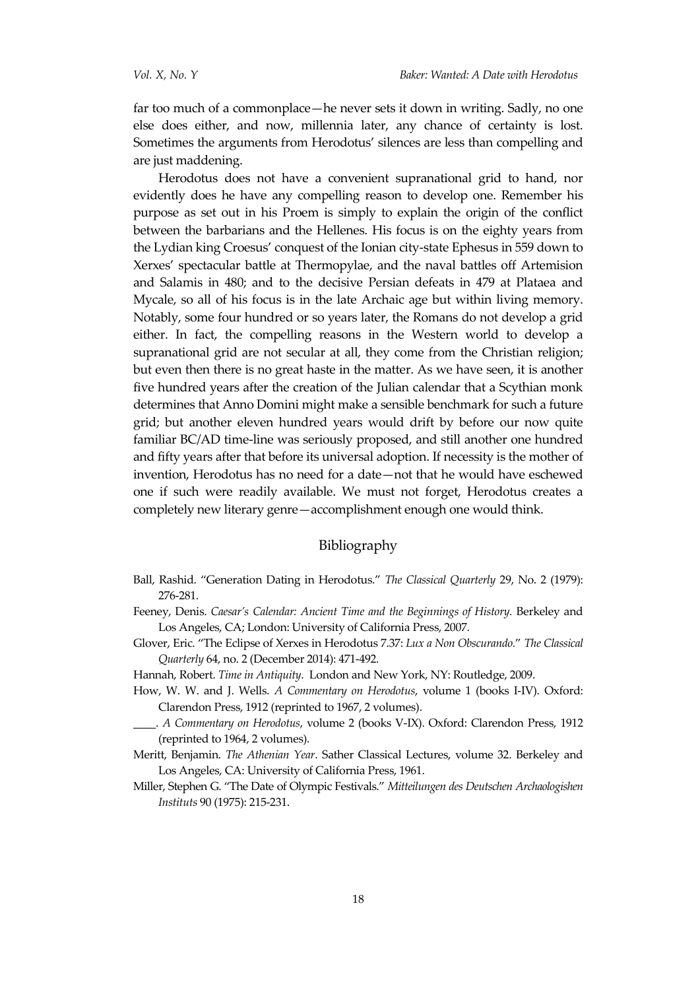far too much of a commonplace—he never sets it down in writing. Sadly, no one else does either, and now, millennia later, any chance of certainty is lost. Sometimes the arguments from Herodotus' silences are less than compelling and are just maddening.

Herodotus does not have a convenient supranational grid to hand, nor evidently does he have any compelling reason to develop one. Remember his purpose as set out in his Proem is simply to explain the origin of the conflict between the barbarians and the Hellenes. His focus is on the eighty years from the Lydian king Croesus' conquest of the Ionian city-state Ephesus in 559 down to Xerxes' spectacular battle at Thermopylae, and the naval battles off Artemision and Salamis in 480; and to the decisive Persian defeats in 479 at Plataea and Mycale, so all of his focus is in the late Archaic age but within living memory. Notably, some four hundred or so years later, the Romans do not develop a grid either. In fact, the compelling reasons in the Western world to develop a supranational grid are not secular at all, they come from the Christian religion; but even then there is no great haste in the matter. As we have seen, it is another five hundred years after the creation of the Julian calendar that a Scythian monk determines that Anno Domini might make a sensible benchmark for such a future grid; but another eleven hundred years would drift by before our now quite familiar BC/AD time-line was seriously proposed, and still another one hundred and fifty years after that before its universal adoption. If necessity is the mother of invention, Herodotus has no need for a date—not that he would have eschewed one if such were readily available. We must not forget, Herodotus creates a completely new literary genre—accomplishment enough one would think.

### Bibliography

- Ball, Rashid. 'Generation Dating in Herodotus.' *The Classical Quarterly* 29, No. 2 (1979): 276-281.
- Feeney, Denis. *Caesar's Calendar: Ancient Time and the Beginnings of History*. Berkeley and Los Angeles, CA; London: University of California Press, 2007.
- Glover, Eric. 'The Eclipse of Xerxes in Herodotus 7.37: *Lux a Non Obscurando.*' *The Classical Quarterly* 64, no. 2 (December 2014): 471-492.
- Hannah, Robert. *Time in Antiquity*. London and New York, NY: Routledge, 2009.
- How, W. W. and J. Wells. *A Commentary on Herodotus*, volume 1 (books I-IV). Oxford: Clarendon Press, 1912 (reprinted to 1967, 2 volumes).
- \_\_\_\_. *A Commentary on Herodotus*, volume 2 (books V-IX). Oxford: Clarendon Press, 1912 (reprinted to 1964, 2 volumes).
- Meritt, Benjamin. *The Athenian Year*. Sather Classical Lectures, volume 32. Berkeley and Los Angeles, CA: University of California Press, 1961.
- Miller, Stephen G. 'The Date of Olympic Festivals.' *Mitteilungen des Deutschen Archaologishen Instituts* 90 (1975): 215-231.